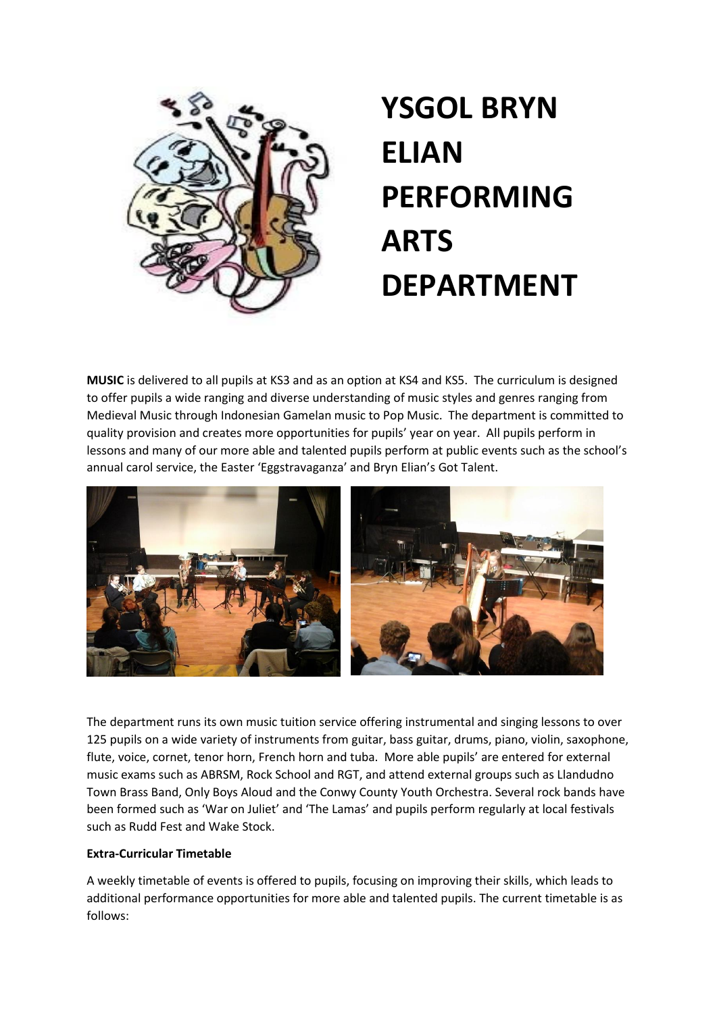

## **YSGOL BRYN ELIAN PERFORMING ARTS DEPARTMENT**

**MUSIC** is delivered to all pupils at KS3 and as an option at KS4 and KS5. The curriculum is designed to offer pupils a wide ranging and diverse understanding of music styles and genres ranging from Medieval Music through Indonesian Gamelan music to Pop Music. The department is committed to quality provision and creates more opportunities for pupils' year on year. All pupils perform in lessons and many of our more able and talented pupils perform at public events such as the school's annual carol service, the Easter 'Eggstravaganza' and Bryn Elian's Got Talent.



The department runs its own music tuition service offering instrumental and singing lessons to over 125 pupils on a wide variety of instruments from guitar, bass guitar, drums, piano, violin, saxophone, flute, voice, cornet, tenor horn, French horn and tuba. More able pupils' are entered for external music exams such as ABRSM, Rock School and RGT, and attend external groups such as Llandudno Town Brass Band, Only Boys Aloud and the Conwy County Youth Orchestra. Several rock bands have been formed such as 'War on Juliet' and 'The Lamas' and pupils perform regularly at local festivals such as Rudd Fest and Wake Stock.

#### **Extra-Curricular Timetable**

A weekly timetable of events is offered to pupils, focusing on improving their skills, which leads to additional performance opportunities for more able and talented pupils. The current timetable is as follows: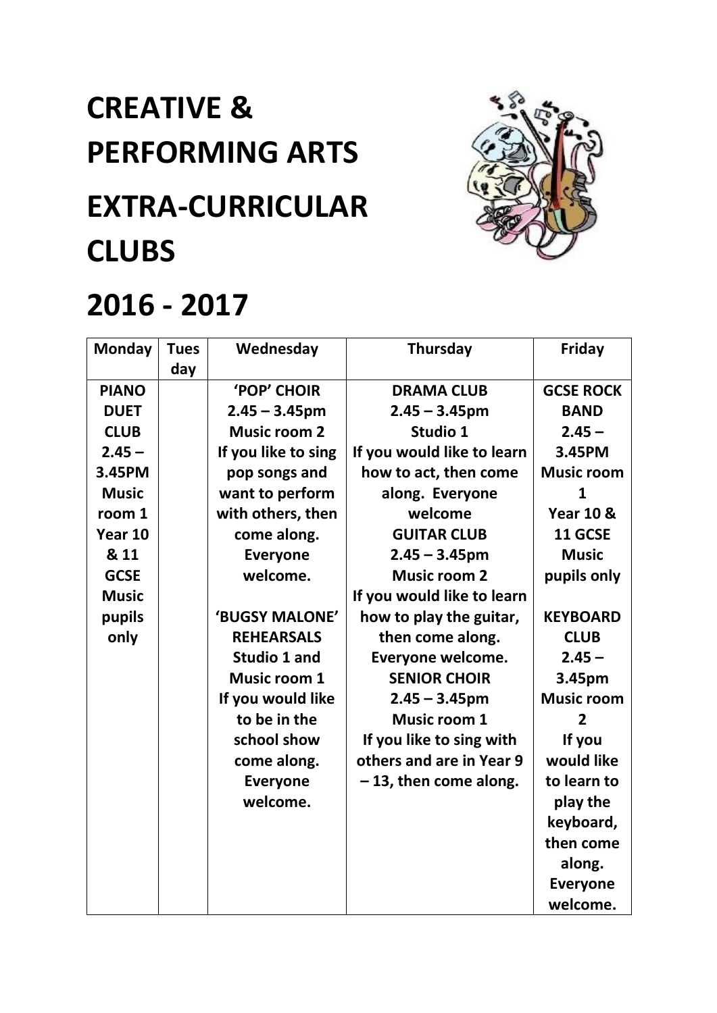# **CREATIVE & PERFORMING ARTS EXTRA-CURRICULAR CLUBS**



### **2016 - 2017**

| <b>Monday</b> | <b>Tues</b> | Wednesday           | Thursday                   | Friday               |
|---------------|-------------|---------------------|----------------------------|----------------------|
|               | day         |                     |                            |                      |
| <b>PIANO</b>  |             | <b>'POP' CHOIR</b>  | <b>DRAMA CLUB</b>          | <b>GCSE ROCK</b>     |
| <b>DUET</b>   |             | $2.45 - 3.45$ pm    | $2.45 - 3.45$ pm           | <b>BAND</b>          |
| <b>CLUB</b>   |             | <b>Music room 2</b> | Studio 1                   | $2.45 -$             |
| $2.45 -$      |             | If you like to sing | If you would like to learn | 3.45PM               |
| 3.45PM        |             | pop songs and       | how to act, then come      | <b>Music room</b>    |
| <b>Music</b>  |             | want to perform     | along. Everyone            | 1                    |
| room 1        |             | with others, then   | welcome                    | <b>Year 10 &amp;</b> |
| Year 10       |             | come along.         | <b>GUITAR CLUB</b>         | 11 GCSE              |
| & 11          |             | <b>Everyone</b>     | $2.45 - 3.45$ pm           | <b>Music</b>         |
| <b>GCSE</b>   |             | welcome.            | <b>Music room 2</b>        | pupils only          |
| <b>Music</b>  |             |                     | If you would like to learn |                      |
| pupils        |             | 'BUGSY MALONE'      | how to play the guitar,    | <b>KEYBOARD</b>      |
| only          |             | <b>REHEARSALS</b>   | then come along.           | <b>CLUB</b>          |
|               |             | Studio 1 and        | Everyone welcome.          | $2.45 -$             |
|               |             | <b>Music room 1</b> | <b>SENIOR CHOIR</b>        | 3.45pm               |
|               |             | If you would like   | $2.45 - 3.45$ pm           | <b>Music room</b>    |
|               |             | to be in the        | <b>Music room 1</b>        | $\overline{2}$       |
|               |             | school show         | If you like to sing with   | If you               |
|               |             | come along.         | others and are in Year 9   | would like           |
|               |             | <b>Everyone</b>     | $-13$ , then come along.   | to learn to          |
|               |             | welcome.            |                            | play the             |
|               |             |                     |                            | keyboard,            |
|               |             |                     |                            | then come            |
|               |             |                     |                            | along.               |
|               |             |                     |                            | <b>Everyone</b>      |
|               |             |                     |                            | welcome.             |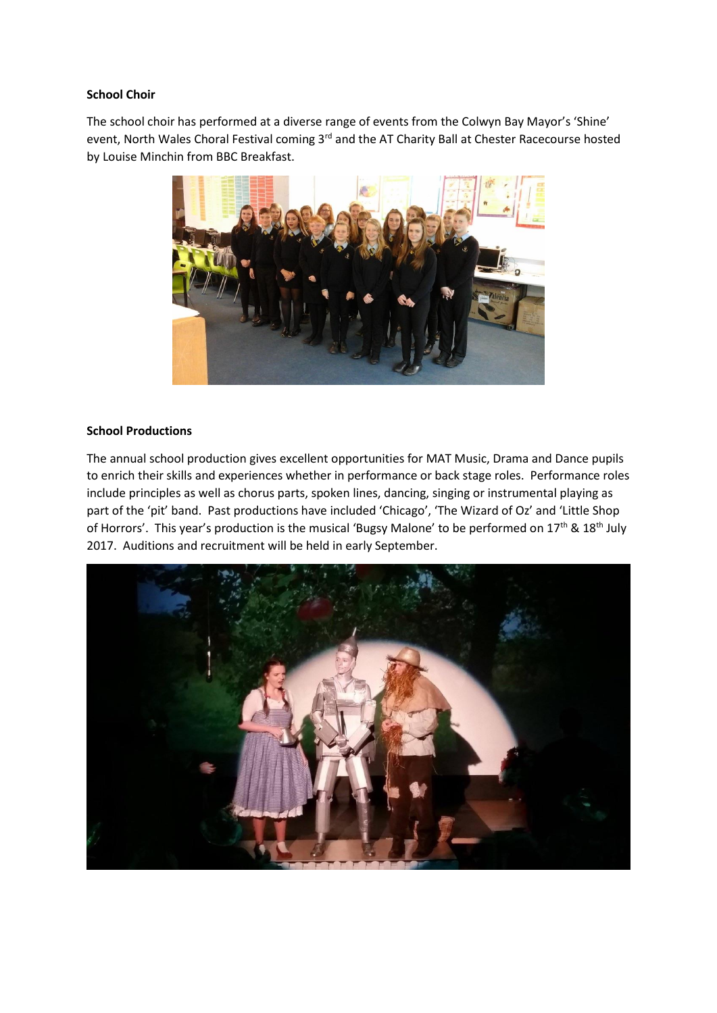#### **School Choir**

The school choir has performed at a diverse range of events from the Colwyn Bay Mayor's 'Shine' event, North Wales Choral Festival coming 3<sup>rd</sup> and the AT Charity Ball at Chester Racecourse hosted by Louise Minchin from BBC Breakfast.



#### **School Productions**

The annual school production gives excellent opportunities for MAT Music, Drama and Dance pupils to enrich their skills and experiences whether in performance or back stage roles. Performance roles include principles as well as chorus parts, spoken lines, dancing, singing or instrumental playing as part of the 'pit' band. Past productions have included 'Chicago', 'The Wizard of Oz' and 'Little Shop of Horrors'. This year's production is the musical 'Bugsy Malone' to be performed on 17<sup>th</sup> & 18<sup>th</sup> July 2017. Auditions and recruitment will be held in early September.